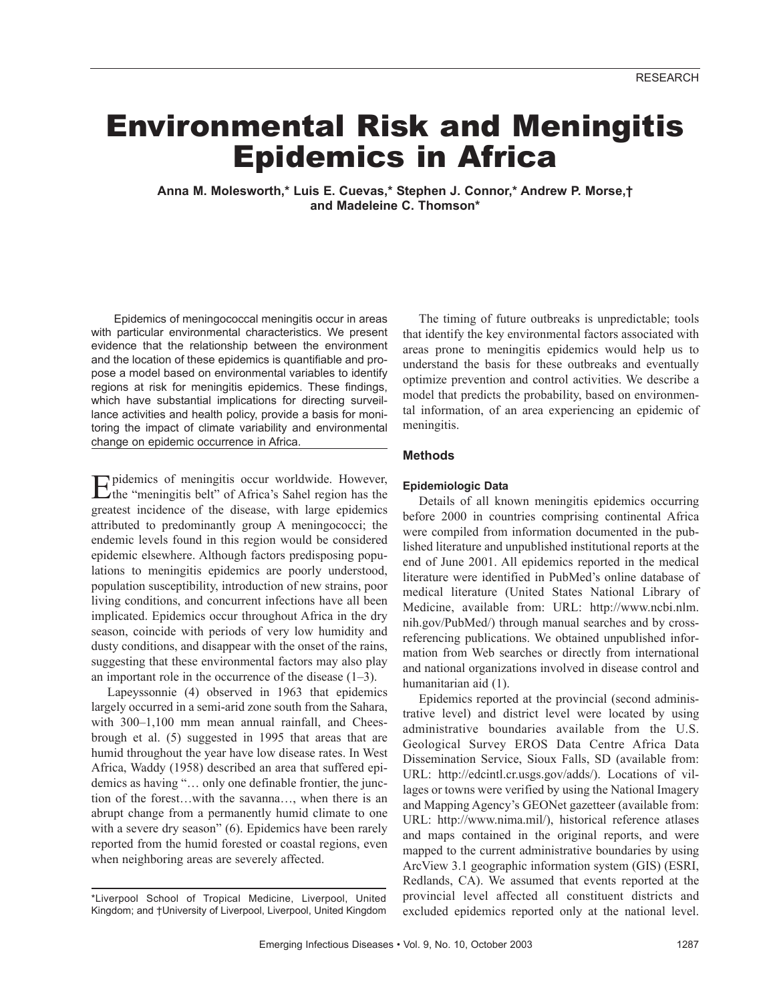# Environmental Risk and Meningitis Epidemics in Africa

**Anna M. Molesworth,\* Luis E. Cuevas,\* Stephen J. Connor,\* Andrew P. Morse,† and Madeleine C. Thomson\***

Epidemics of meningococcal meningitis occur in areas with particular environmental characteristics. We present evidence that the relationship between the environment and the location of these epidemics is quantifiable and propose a model based on environmental variables to identify regions at risk for meningitis epidemics. These findings, which have substantial implications for directing surveillance activities and health policy, provide a basis for monitoring the impact of climate variability and environmental change on epidemic occurrence in Africa.

Epidemics of meningitis occur worldwide. However, the "meningitis belt" of Africa's Sahel region has the greatest incidence of the disease, with large epidemics attributed to predominantly group A meningococci; the endemic levels found in this region would be considered epidemic elsewhere. Although factors predisposing populations to meningitis epidemics are poorly understood, population susceptibility, introduction of new strains, poor living conditions, and concurrent infections have all been implicated. Epidemics occur throughout Africa in the dry season, coincide with periods of very low humidity and dusty conditions, and disappear with the onset of the rains, suggesting that these environmental factors may also play an important role in the occurrence of the disease  $(1-3)$ .

Lapeyssonnie (4) observed in 1963 that epidemics largely occurred in a semi-arid zone south from the Sahara, with 300–1,100 mm mean annual rainfall, and Cheesbrough et al. (5) suggested in 1995 that areas that are humid throughout the year have low disease rates. In West Africa, Waddy (1958) described an area that suffered epidemics as having "… only one definable frontier, the junction of the forest…with the savanna…, when there is an abrupt change from a permanently humid climate to one with a severe dry season" (6). Epidemics have been rarely reported from the humid forested or coastal regions, even when neighboring areas are severely affected.

The timing of future outbreaks is unpredictable; tools that identify the key environmental factors associated with areas prone to meningitis epidemics would help us to understand the basis for these outbreaks and eventually optimize prevention and control activities. We describe a model that predicts the probability, based on environmental information, of an area experiencing an epidemic of meningitis.

# **Methods**

# **Epidemiologic Data**

Details of all known meningitis epidemics occurring before 2000 in countries comprising continental Africa were compiled from information documented in the published literature and unpublished institutional reports at the end of June 2001. All epidemics reported in the medical literature were identified in PubMed's online database of medical literature (United States National Library of Medicine, available from: URL: http://www.ncbi.nlm. nih.gov/PubMed/) through manual searches and by crossreferencing publications. We obtained unpublished information from Web searches or directly from international and national organizations involved in disease control and humanitarian aid (1).

Epidemics reported at the provincial (second administrative level) and district level were located by using administrative boundaries available from the U.S. Geological Survey EROS Data Centre Africa Data Dissemination Service, Sioux Falls, SD (available from: URL: http://edcintl.cr.usgs.gov/adds/). Locations of villages or towns were verified by using the National Imagery and Mapping Agency's GEONet gazetteer (available from: URL: http://www.nima.mil/), historical reference atlases and maps contained in the original reports, and were mapped to the current administrative boundaries by using ArcView 3.1 geographic information system (GIS) (ESRI, Redlands, CA). We assumed that events reported at the provincial level affected all constituent districts and excluded epidemics reported only at the national level.

<sup>\*</sup>Liverpool School of Tropical Medicine, Liverpool, United Kingdom; and †University of Liverpool, Liverpool, United Kingdom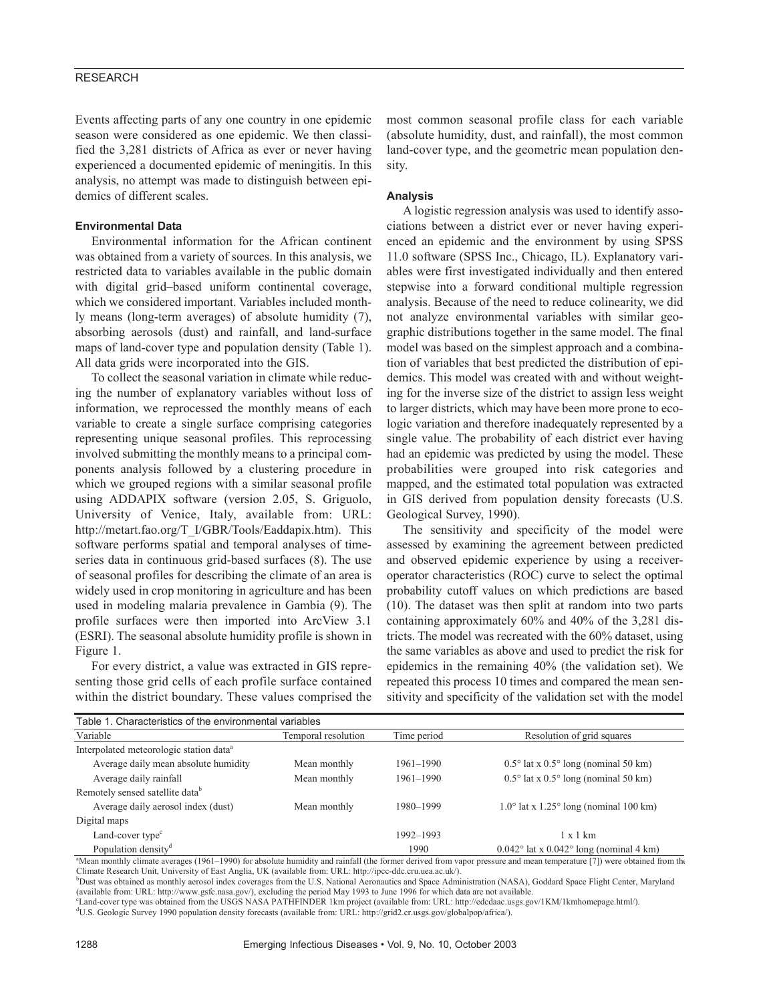Events affecting parts of any one country in one epidemic season were considered as one epidemic. We then classified the 3,281 districts of Africa as ever or never having experienced a documented epidemic of meningitis. In this analysis, no attempt was made to distinguish between epidemics of different scales.

### **Environmental Data**

Environmental information for the African continent was obtained from a variety of sources. In this analysis, we restricted data to variables available in the public domain with digital grid–based uniform continental coverage, which we considered important. Variables included monthly means (long-term averages) of absolute humidity (7), absorbing aerosols (dust) and rainfall, and land-surface maps of land-cover type and population density (Table 1). All data grids were incorporated into the GIS.

To collect the seasonal variation in climate while reducing the number of explanatory variables without loss of information, we reprocessed the monthly means of each variable to create a single surface comprising categories representing unique seasonal profiles. This reprocessing involved submitting the monthly means to a principal components analysis followed by a clustering procedure in which we grouped regions with a similar seasonal profile using ADDAPIX software (version 2.05, S. Griguolo, University of Venice, Italy, available from: URL: http://metart.fao.org/T\_I/GBR/Tools/Eaddapix.htm). This software performs spatial and temporal analyses of timeseries data in continuous grid-based surfaces (8). The use of seasonal profiles for describing the climate of an area is widely used in crop monitoring in agriculture and has been used in modeling malaria prevalence in Gambia (9). The profile surfaces were then imported into ArcView 3.1 (ESRI). The seasonal absolute humidity profile is shown in Figure 1.

For every district, a value was extracted in GIS representing those grid cells of each profile surface contained within the district boundary. These values comprised the

most common seasonal profile class for each variable (absolute humidity, dust, and rainfall), the most common land-cover type, and the geometric mean population density.

## **Analysis**

A logistic regression analysis was used to identify associations between a district ever or never having experienced an epidemic and the environment by using SPSS 11.0 software (SPSS Inc., Chicago, IL). Explanatory variables were first investigated individually and then entered stepwise into a forward conditional multiple regression analysis. Because of the need to reduce colinearity, we did not analyze environmental variables with similar geographic distributions together in the same model. The final model was based on the simplest approach and a combination of variables that best predicted the distribution of epidemics. This model was created with and without weighting for the inverse size of the district to assign less weight to larger districts, which may have been more prone to ecologic variation and therefore inadequately represented by a single value. The probability of each district ever having had an epidemic was predicted by using the model. These probabilities were grouped into risk categories and mapped, and the estimated total population was extracted in GIS derived from population density forecasts (U.S. Geological Survey, 1990).

The sensitivity and specificity of the model were assessed by examining the agreement between predicted and observed epidemic experience by using a receiveroperator characteristics (ROC) curve to select the optimal probability cutoff values on which predictions are based (10). The dataset was then split at random into two parts containing approximately 60% and 40% of the 3,281 districts. The model was recreated with the 60% dataset, using the same variables as above and used to predict the risk for epidemics in the remaining 40% (the validation set). We repeated this process 10 times and compared the mean sensitivity and specificity of the validation set with the model

| Table 1. Characteristics of the environmental variables |                     |               |                                                           |  |  |  |
|---------------------------------------------------------|---------------------|---------------|-----------------------------------------------------------|--|--|--|
| Variable                                                | Temporal resolution | Time period   | Resolution of grid squares                                |  |  |  |
| Interpolated meteorologic station data <sup>a</sup>     |                     |               |                                                           |  |  |  |
| Average daily mean absolute humidity                    | Mean monthly        | 1961-1990     | $0.5^{\circ}$ lat x $0.5^{\circ}$ long (nominal 50 km)    |  |  |  |
| Average daily rainfall                                  | Mean monthly        | $1961 - 1990$ | $0.5^{\circ}$ lat x $0.5^{\circ}$ long (nominal 50 km)    |  |  |  |
| Remotely sensed satellite data <sup>b</sup>             |                     |               |                                                           |  |  |  |
| Average daily aerosol index (dust)                      | Mean monthly        | 1980-1999     | $1.0^{\circ}$ lat x $1.25^{\circ}$ long (nominal 100 km)  |  |  |  |
| Digital maps                                            |                     |               |                                                           |  |  |  |
| Land-cover type <sup>c</sup>                            |                     | 1992-1993     | $1 \times 1$ km                                           |  |  |  |
| Population density <sup>d</sup>                         |                     | 1990          | $0.042^{\circ}$ lat x $0.042^{\circ}$ long (nominal 4 km) |  |  |  |

<sup>a</sup>Mean monthly climate averages (1961–1990) for absolute humidity and rainfall (the former derived from vapor pressure and mean temperature [7]) were obtained from the Climate Research Unit, University of East Anglia, UK (available from: URL: http://ipcc-ddc.cru.uea.ac.uk/).

<sup>b</sup>Dust was obtained as monthly aerosol index coverages from the U.S. National Aeronautics and Space Administration (NASA), Goddard Space Flight Center, Maryland (available from: URL: http://www.gsfc.nasa.gov/), excluding the period May 1993 to June 1996 for which data are not available.

CLand-cover type was obtained from the USGS NASA PATHFINDER 1km project (available from: URL: http://edcdaac.usgs.gov/1KM/1kmhomepage.html/). U.S. Geologic Survey 1990 population density forecasts (available from: URL: http://grid2.cr.usgs.gov/globalpop/africa/).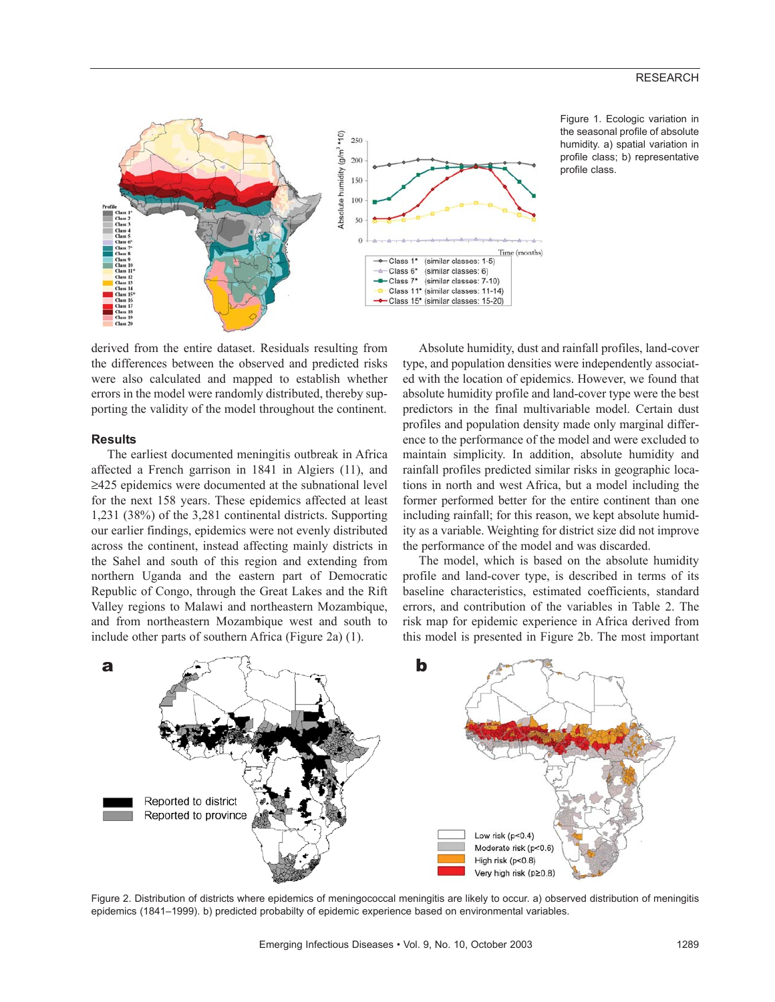

Figure 1. Ecologic variation in the seasonal profile of absolute humidity. a) spatial variation in profile class; b) representative profile class.

derived from the entire dataset. Residuals resulting from the differences between the observed and predicted risks were also calculated and mapped to establish whether errors in the model were randomly distributed, thereby supporting the validity of the model throughout the continent.

## **Results**

The earliest documented meningitis outbreak in Africa affected a French garrison in 1841 in Algiers (11), and ≥425 epidemics were documented at the subnational level for the next 158 years. These epidemics affected at least 1,231 (38%) of the 3,281 continental districts. Supporting our earlier findings, epidemics were not evenly distributed across the continent, instead affecting mainly districts in the Sahel and south of this region and extending from northern Uganda and the eastern part of Democratic Republic of Congo, through the Great Lakes and the Rift Valley regions to Malawi and northeastern Mozambique, and from northeastern Mozambique west and south to include other parts of southern Africa (Figure 2a) (1).

Absolute humidity, dust and rainfall profiles, land-cover type, and population densities were independently associated with the location of epidemics. However, we found that absolute humidity profile and land-cover type were the best predictors in the final multivariable model. Certain dust profiles and population density made only marginal difference to the performance of the model and were excluded to maintain simplicity. In addition, absolute humidity and rainfall profiles predicted similar risks in geographic locations in north and west Africa, but a model including the former performed better for the entire continent than one including rainfall; for this reason, we kept absolute humidity as a variable. Weighting for district size did not improve the performance of the model and was discarded.

The model, which is based on the absolute humidity profile and land-cover type, is described in terms of its baseline characteristics, estimated coefficients, standard errors, and contribution of the variables in Table 2. The risk map for epidemic experience in Africa derived from this model is presented in Figure 2b. The most important



Figure 2. Distribution of districts where epidemics of meningococcal meningitis are likely to occur. a) observed distribution of meningitis epidemics (1841–1999). b) predicted probabilty of epidemic experience based on environmental variables.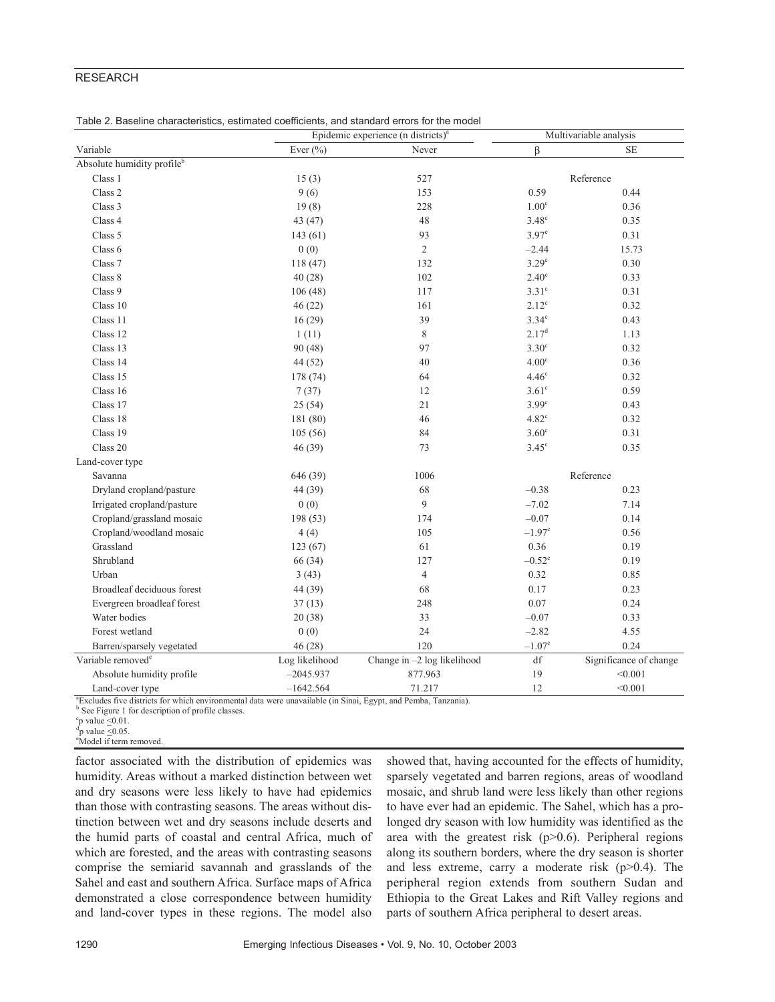|                                                                                                                           | Epidemic experience (n districts) <sup>a</sup> |                             | Multivariable analysis |                        |
|---------------------------------------------------------------------------------------------------------------------------|------------------------------------------------|-----------------------------|------------------------|------------------------|
| Variable                                                                                                                  | Ever $(\% )$                                   | Never                       | $\beta$                | <b>SE</b>              |
| Absolute humidity profileb                                                                                                |                                                |                             |                        |                        |
| Class 1                                                                                                                   | 15(3)                                          | 527                         | Reference              |                        |
| Class 2                                                                                                                   | 9(6)                                           | 153                         | 0.59                   | 0.44                   |
| Class 3                                                                                                                   | 19(8)                                          | 228                         | 1.00 <sup>c</sup>      | 0.36                   |
| Class 4                                                                                                                   | 43 (47)                                        | 48                          | $3.48^\circ$           | 0.35                   |
| Class 5                                                                                                                   | 143(61)                                        | 93                          | $3.97^\circ$           | 0.31                   |
| Class 6                                                                                                                   | 0(0)                                           | $\overline{2}$              | $-2.44$                | 15.73                  |
| Class 7                                                                                                                   | 118 (47)                                       | 132                         | 3.29 <sup>c</sup>      | 0.30                   |
| Class 8                                                                                                                   | 40(28)                                         | 102                         | $2.40^\circ$           | 0.33                   |
| Class 9                                                                                                                   | 106(48)                                        | 117                         | 3.31 <sup>c</sup>      | 0.31                   |
| Class 10                                                                                                                  | 46(22)                                         | 161                         | $2.12^{\circ}$         | 0.32                   |
| Class 11                                                                                                                  | 16(29)                                         | 39                          | $3.34^\circ$           | 0.43                   |
| Class 12                                                                                                                  | 1(11)                                          | $\,$ 8 $\,$                 | $2.17^d$               | 1.13                   |
| Class 13                                                                                                                  | 90(48)                                         | 97                          | $3.30^\circ$           | 0.32                   |
| Class 14                                                                                                                  | 44 (52)                                        | 40                          | 4.00 <sup>c</sup>      | 0.36                   |
| Class 15                                                                                                                  | 178 (74)                                       | 64                          | 4.46 <sup>c</sup>      | 0.32                   |
| Class 16                                                                                                                  | 7(37)                                          | 12                          | $3.61^\circ$           | 0.59                   |
| Class 17                                                                                                                  | 25(54)                                         | 21                          | 3.99 <sup>c</sup>      | 0.43                   |
| Class 18                                                                                                                  | 181 (80)                                       | 46                          | $4.82^{\circ}$         | 0.32                   |
| Class 19                                                                                                                  | 105(56)                                        | 84                          | $3.60^\circ$           | 0.31                   |
| Class 20                                                                                                                  | 46 (39)                                        | 73                          | $3.45^{\circ}$         | 0.35                   |
| Land-cover type                                                                                                           |                                                |                             |                        |                        |
| Savanna                                                                                                                   | 646 (39)                                       | 1006                        |                        | Reference              |
| Dryland cropland/pasture                                                                                                  | 44 (39)                                        | 68                          | $-0.38$                | 0.23                   |
| Irrigated cropland/pasture                                                                                                | 0(0)                                           | 9                           | $-7.02$                | 7.14                   |
| Cropland/grassland mosaic                                                                                                 | 198 (53)                                       | 174                         | $-0.07$                | 0.14                   |
| Cropland/woodland mosaic                                                                                                  | 4(4)                                           | 105                         | $-1.97^{\circ}$        | 0.56                   |
| Grassland                                                                                                                 | 123 (67)                                       | 61                          | 0.36                   | 0.19                   |
| Shrubland                                                                                                                 | 66 (34)                                        | 127                         | $-0.52$ <sup>c</sup>   | 0.19                   |
| Urban                                                                                                                     | 3(43)                                          | $\overline{4}$              | 0.32                   | 0.85                   |
| Broadleaf deciduous forest                                                                                                | 44 (39)                                        | 68                          | 0.17                   | 0.23                   |
| Evergreen broadleaf forest                                                                                                | 37(13)                                         | 248                         | 0.07                   | 0.24                   |
| Water bodies                                                                                                              | 20(38)                                         | 33                          | $-0.07$                | 0.33                   |
| Forest wetland                                                                                                            | 0(0)                                           | 24                          | $-2.82$                | 4.55                   |
| Barren/sparsely vegetated                                                                                                 | 46(28)                                         | 120                         | $-1.07^c$              | 0.24                   |
| Variable removed <sup>e</sup>                                                                                             | Log likelihood                                 | Change in -2 log likelihood | $\mathrm{d}\mathrm{f}$ | Significance of change |
| Absolute humidity profile                                                                                                 | $-2045.937$                                    | 877.963                     | 19                     | < 0.001                |
| Land-cover type                                                                                                           | $-1642.564$                                    | 71.217                      | 12                     | < 0.001                |
| <sup>a</sup> Excludes five districts for which environmental data were unavailable (in Sinai, Egypt, and Pemba, Tanzania) |                                                |                             |                        |                        |

<sup>b</sup> See Figure 1 for description of profile classes.

 $^{\text{d}}$ p value  $\leq$ 0.05.<br><sup>e</sup>Model if term removed.

factor associated with the distribution of epidemics was humidity. Areas without a marked distinction between wet and dry seasons were less likely to have had epidemics than those with contrasting seasons. The areas without distinction between wet and dry seasons include deserts and the humid parts of coastal and central Africa, much of which are forested, and the areas with contrasting seasons comprise the semiarid savannah and grasslands of the Sahel and east and southern Africa. Surface maps of Africa demonstrated a close correspondence between humidity and land-cover types in these regions. The model also

showed that, having accounted for the effects of humidity, sparsely vegetated and barren regions, areas of woodland mosaic, and shrub land were less likely than other regions to have ever had an epidemic. The Sahel, which has a prolonged dry season with low humidity was identified as the area with the greatest risk  $(p>0.6)$ . Peripheral regions along its southern borders, where the dry season is shorter and less extreme, carry a moderate risk  $(p>0.4)$ . The peripheral region extends from southern Sudan and Ethiopia to the Great Lakes and Rift Valley regions and parts of southern Africa peripheral to desert areas.

 $\frac{c}{d}$  value  $\leq 0.01$ .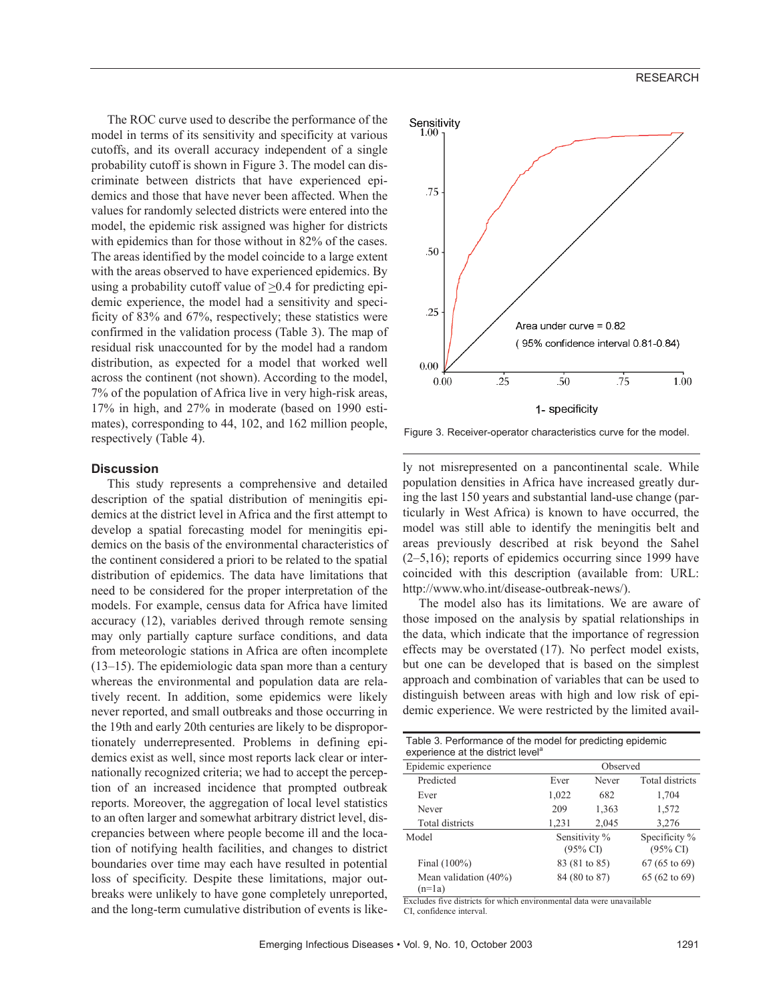The ROC curve used to describe the performance of the model in terms of its sensitivity and specificity at various cutoffs, and its overall accuracy independent of a single probability cutoff is shown in Figure 3. The model can discriminate between districts that have experienced epidemics and those that have never been affected. When the values for randomly selected districts were entered into the model, the epidemic risk assigned was higher for districts with epidemics than for those without in 82% of the cases. The areas identified by the model coincide to a large extent with the areas observed to have experienced epidemics. By using a probability cutoff value of  $\geq 0.4$  for predicting epidemic experience, the model had a sensitivity and specificity of 83% and 67%, respectively; these statistics were confirmed in the validation process (Table 3). The map of residual risk unaccounted for by the model had a random distribution, as expected for a model that worked well across the continent (not shown). According to the model, 7% of the population of Africa live in very high-risk areas, 17% in high, and 27% in moderate (based on 1990 estimates), corresponding to 44, 102, and 162 million people, respectively (Table 4).

# **Discussion**

This study represents a comprehensive and detailed description of the spatial distribution of meningitis epidemics at the district level in Africa and the first attempt to develop a spatial forecasting model for meningitis epidemics on the basis of the environmental characteristics of the continent considered a priori to be related to the spatial distribution of epidemics. The data have limitations that need to be considered for the proper interpretation of the models. For example, census data for Africa have limited accuracy (12), variables derived through remote sensing may only partially capture surface conditions, and data from meteorologic stations in Africa are often incomplete (13–15). The epidemiologic data span more than a century whereas the environmental and population data are relatively recent. In addition, some epidemics were likely never reported, and small outbreaks and those occurring in the 19th and early 20th centuries are likely to be disproportionately underrepresented. Problems in defining epidemics exist as well, since most reports lack clear or internationally recognized criteria; we had to accept the perception of an increased incidence that prompted outbreak reports. Moreover, the aggregation of local level statistics to an often larger and somewhat arbitrary district level, discrepancies between where people become ill and the location of notifying health facilities, and changes to district boundaries over time may each have resulted in potential loss of specificity. Despite these limitations, major outbreaks were unlikely to have gone completely unreported, and the long-term cumulative distribution of events is like-



Figure 3. Receiver-operator characteristics curve for the model.

ly not misrepresented on a pancontinental scale. While population densities in Africa have increased greatly during the last 150 years and substantial land-use change (particularly in West Africa) is known to have occurred, the model was still able to identify the meningitis belt and areas previously described at risk beyond the Sahel (2–5,16); reports of epidemics occurring since 1999 have coincided with this description (available from: URL: http://www.who.int/disease-outbreak-news/).

The model also has its limitations. We are aware of those imposed on the analysis by spatial relationships in the data, which indicate that the importance of regression effects may be overstated (17). No perfect model exists, but one can be developed that is based on the simplest approach and combination of variables that can be used to distinguish between areas with high and low risk of epidemic experience. We were restricted by the limited avail-

| Table 3. Performance of the model for predicting epidemic<br>experience at the district level <sup>a</sup> |       |                                      |                                      |  |
|------------------------------------------------------------------------------------------------------------|-------|--------------------------------------|--------------------------------------|--|
| Epidemic experience                                                                                        |       | Observed                             |                                      |  |
| Predicted                                                                                                  | Ever  | Never                                | Total districts                      |  |
| Ever                                                                                                       | 1,022 | 682                                  | 1,704                                |  |
| Never                                                                                                      | 209   | 1,363                                | 1,572                                |  |
| Total districts                                                                                            | 1,231 | 2,045                                | 3,276                                |  |
| Model                                                                                                      |       | Sensitivity %<br>$(95\% \text{ CI})$ | Specificity %<br>$(95\% \text{ CI})$ |  |
| Final $(100\%)$                                                                                            |       | 83 (81 to 85)                        | $67(65 \text{ to } 69)$              |  |
| Mean validation (40%)<br>$(n=1a)$                                                                          |       | 84 (80 to 87)                        | 65 (62 to 69)                        |  |

Excludes five districts for which environmental data were unavailable CI, confidence interval.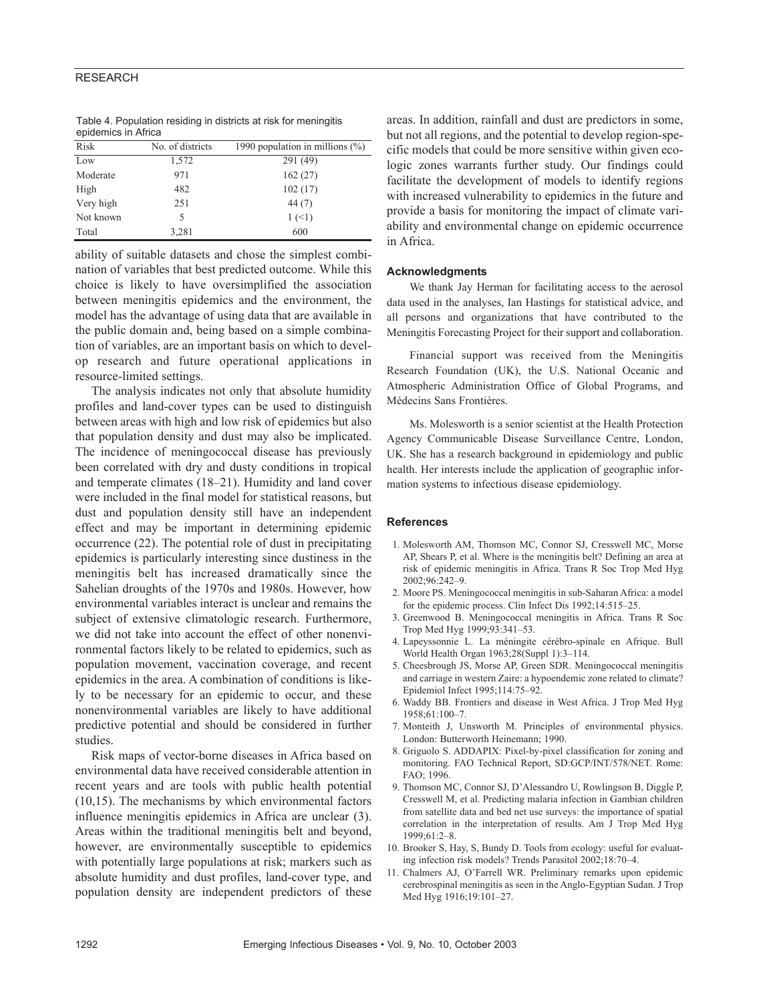| EDIUEITIIUS III AITIU A |                  |                                    |  |  |
|-------------------------|------------------|------------------------------------|--|--|
| <b>Risk</b>             | No. of districts | 1990 population in millions $(\%)$ |  |  |
| Low                     | 1,572            | 291 (49)                           |  |  |
| Moderate                | 971              | 162(27)                            |  |  |
| High                    | 482              | 102(17)                            |  |  |
| Very high               | 251              | 44 (7)                             |  |  |
| Not known               |                  | $1 \left( \leq l \right)$          |  |  |
| Total                   | 3,281            | 600                                |  |  |

Table 4. Population residing in districts at risk for meningitis epidemics in Africa

ability of suitable datasets and chose the simplest combination of variables that best predicted outcome. While this choice is likely to have oversimplified the association between meningitis epidemics and the environment, the model has the advantage of using data that are available in the public domain and, being based on a simple combination of variables, are an important basis on which to develop research and future operational applications in resource-limited settings.

The analysis indicates not only that absolute humidity profiles and land-cover types can be used to distinguish between areas with high and low risk of epidemics but also that population density and dust may also be implicated. The incidence of meningococcal disease has previously been correlated with dry and dusty conditions in tropical and temperate climates (18–21). Humidity and land cover were included in the final model for statistical reasons, but dust and population density still have an independent effect and may be important in determining epidemic occurrence (22). The potential role of dust in precipitating epidemics is particularly interesting since dustiness in the meningitis belt has increased dramatically since the Sahelian droughts of the 1970s and 1980s. However, how environmental variables interact is unclear and remains the subject of extensive climatologic research. Furthermore, we did not take into account the effect of other nonenvironmental factors likely to be related to epidemics, such as population movement, vaccination coverage, and recent epidemics in the area. A combination of conditions is likely to be necessary for an epidemic to occur, and these nonenvironmental variables are likely to have additional predictive potential and should be considered in further studies.

Risk maps of vector-borne diseases in Africa based on environmental data have received considerable attention in recent years and are tools with public health potential (10,15). The mechanisms by which environmental factors influence meningitis epidemics in Africa are unclear (3). Areas within the traditional meningitis belt and beyond, however, are environmentally susceptible to epidemics with potentially large populations at risk; markers such as absolute humidity and dust profiles, land-cover type, and population density are independent predictors of these

areas. In addition, rainfall and dust are predictors in some, but not all regions, and the potential to develop region-specific models that could be more sensitive within given ecologic zones warrants further study. Our findings could facilitate the development of models to identify regions with increased vulnerability to epidemics in the future and provide a basis for monitoring the impact of climate variability and environmental change on epidemic occurrence in Africa.

### **Acknowledgments**

We thank Jay Herman for facilitating access to the aerosol data used in the analyses, Ian Hastings for statistical advice, and all persons and organizations that have contributed to the Meningitis Forecasting Project for their support and collaboration.

Financial support was received from the Meningitis Research Foundation (UK), the U.S. National Oceanic and Atmospheric Administration Office of Global Programs, and Médecins Sans Frontières.

Ms. Molesworth is a senior scientist at the Health Protection Agency Communicable Disease Surveillance Centre, London, UK. She has a research background in epidemiology and public health. Her interests include the application of geographic information systems to infectious disease epidemiology.

# **References**

- 1. Molesworth AM, Thomson MC, Connor SJ, Cresswell MC, Morse AP, Shears P, et al. Where is the meningitis belt? Defining an area at risk of epidemic meningitis in Africa. Trans R Soc Trop Med Hyg 2002;96:242–9.
- 2. Moore PS. Meningococcal meningitis in sub-Saharan Africa: a model for the epidemic process. Clin Infect Dis 1992;14:515–25.
- 3. Greenwood B. Meningococcal meningitis in Africa. Trans R Soc Trop Med Hyg 1999;93:341–53.
- 4. Lapeyssonnie L. La méningite cérébro-spinale en Afrique. Bull World Health Organ 1963;28(Suppl 1):3–114.
- 5. Cheesbrough JS, Morse AP, Green SDR. Meningococcal meningitis and carriage in western Zaire: a hypoendemic zone related to climate? Epidemiol Infect 1995;114:75–92.
- 6. Waddy BB. Frontiers and disease in West Africa. J Trop Med Hyg 1958;61:100–7.
- 7. Monteith J, Unsworth M. Principles of environmental physics. London: Butterworth Heinemann; 1990.
- 8. Griguolo S. ADDAPIX: Pixel-by-pixel classification for zoning and monitoring. FAO Technical Report, SD:GCP/INT/578/NET. Rome: FAO; 1996.
- 9. Thomson MC, Connor SJ, D'Alessandro U, Rowlingson B, Diggle P, Cresswell M, et al. Predicting malaria infection in Gambian children from satellite data and bed net use surveys: the importance of spatial correlation in the interpretation of results. Am J Trop Med Hyg 1999;61:2–8.
- 10. Brooker S, Hay, S, Bundy D. Tools from ecology: useful for evaluating infection risk models? Trends Parasitol 2002;18:70–4.
- 11. Chalmers AJ, O'Farrell WR. Preliminary remarks upon epidemic cerebrospinal meningitis as seen in the Anglo-Egyptian Sudan. J Trop Med Hyg 1916;19:101–27.